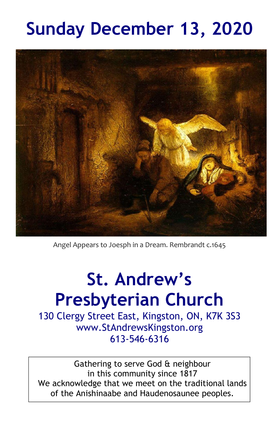# **Sunday December 13, 2020**



Angel Appears to Joesph in a Dream. Rembrandt c.1645

# **St. Andrew's Presbyterian Church**

130 Clergy Street East, Kingston, ON, K7K 3S3 www.StAndrewsKingston.org 613-546-6316

Gathering to serve God & neighbour in this community since 1817 We acknowledge that we meet on the traditional lands of the Anishinaabe and Haudenosaunee peoples.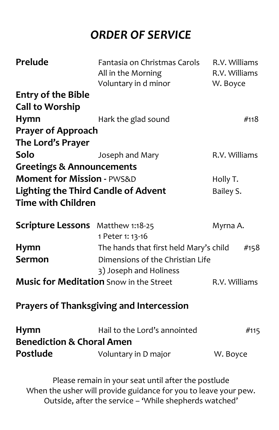# *ORDER OF SERVICE*

| <b>Prelude</b>                                                                                                         | Fantasia on Christmas Carols<br>All in the Morning<br>Voluntary in d minor | R.V. Williams<br>R.V. Williams<br>W. Boyce |  |  |
|------------------------------------------------------------------------------------------------------------------------|----------------------------------------------------------------------------|--------------------------------------------|--|--|
| <b>Entry of the Bible</b>                                                                                              |                                                                            |                                            |  |  |
| <b>Call to Worship</b>                                                                                                 |                                                                            |                                            |  |  |
| <b>Hymn</b>                                                                                                            | Hark the glad sound                                                        | #118                                       |  |  |
| <b>Prayer of Approach</b>                                                                                              |                                                                            |                                            |  |  |
| The Lord's Prayer                                                                                                      |                                                                            |                                            |  |  |
| Solo                                                                                                                   | Joseph and Mary                                                            | R.V. Williams                              |  |  |
| <b>Greetings &amp; Announcements</b>                                                                                   |                                                                            |                                            |  |  |
| <b>Moment for Mission - PWS&amp;D</b>                                                                                  |                                                                            | Holly T.                                   |  |  |
| <b>Lighting the Third Candle of Advent</b>                                                                             |                                                                            | Bailey S.                                  |  |  |
| <b>Time with Children</b>                                                                                              |                                                                            |                                            |  |  |
| <b>Scripture Lessons</b> Matthew 1:18-25                                                                               | 1 Peter 1: 13-16                                                           | Myrna A.                                   |  |  |
| Hymn                                                                                                                   | The hands that first held Mary's child                                     | #158                                       |  |  |
| <b>Sermon</b>                                                                                                          | Dimensions of the Christian Life                                           |                                            |  |  |
|                                                                                                                        | 3) Joseph and Holiness                                                     |                                            |  |  |
| <b>Music for Meditation</b> Snow in the Street                                                                         |                                                                            | R.V. Williams                              |  |  |
| <b>Prayers of Thanksgiving and Intercession</b>                                                                        |                                                                            |                                            |  |  |
| <b>Hymn</b>                                                                                                            | Hail to the Lord's annointed                                               | #115                                       |  |  |
| <b>Benediction &amp; Choral Amen</b>                                                                                   |                                                                            |                                            |  |  |
| Postlude                                                                                                               | Voluntary in D major                                                       | W. Boyce                                   |  |  |
| Please remain in your seat until after the postlude<br>When the usher will provide guidance for you to leave your pew. |                                                                            |                                            |  |  |

Outside, after the service – 'While shepherds watched'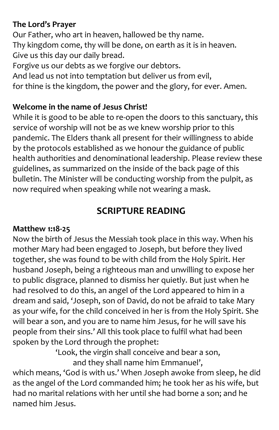#### **The Lord's Prayer**

Our Father, who art in heaven, hallowed be thy name. Thy kingdom come, thy will be done, on earth as it is in heaven. Give us this day our daily bread. Forgive us our debts as we forgive our debtors. And lead us not into temptation but deliver us from evil, for thine is the kingdom, the power and the glory, for ever. Amen.

#### **Welcome in the name of Jesus Christ!**

While it is good to be able to re-open the doors to this sanctuary, this service of worship will not be as we knew worship prior to this pandemic. The Elders thank all present for their willingness to abide by the protocols established as we honour the guidance of public health authorities and denominational leadership. Please review these guidelines, as summarized on the inside of the back page of this bulletin. The Minister will be conducting worship from the pulpit, as now required when speaking while not wearing a mask.

## **SCRIPTURE READING**

#### **Matthew 1:18-25**

Now the birth of Jesus the Messiah took place in this way. When his mother Mary had been engaged to Joseph, but before they lived together, she was found to be with child from the Holy Spirit. Her husband Joseph, being a righteous man and unwilling to expose her to public disgrace, planned to dismiss her quietly. But just when he had resolved to do this, an angel of the Lord appeared to him in a dream and said, 'Joseph, son of David, do not be afraid to take Mary as your wife, for the child conceived in her is from the Holy Spirit. She will bear a son, and you are to name him Jesus, for he will save his people from their sins.' All this took place to fulfil what had been spoken by the Lord through the prophet:

'Look, the virgin shall conceive and bear a son, and they shall name him Emmanuel',

which means, 'God is with us.' When Joseph awoke from sleep, he did as the angel of the Lord commanded him; he took her as his wife, but had no marital relations with her until she had borne a son; and he named him Jesus.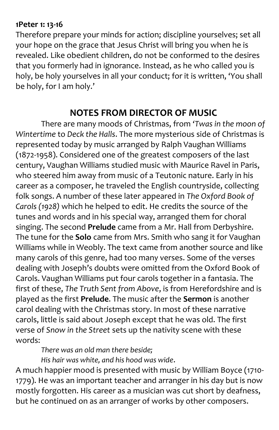#### **1Peter 1: 13-16**

Therefore prepare your minds for action; discipline yourselves; set all your hope on the grace that Jesus Christ will bring you when he is revealed. Like obedient children, do not be conformed to the desires that you formerly had in ignorance. Instead, as he who called you is holy, be holy yourselves in all your conduct; for it is written, 'You shall be holy, for I am holy.'

### **NOTES FROM DIRECTOR OF MUSIC**

There are many moods of Christmas, from *'Twas in the moon of Wintertime* to *Deck the Halls*. The more mysterious side of Christmas is represented today by music arranged by Ralph Vaughan Williams (1872-1958). Considered one of the greatest composers of the last century, Vaughan Williams studied music with Maurice Ravel in Paris, who steered him away from music of a Teutonic nature. Early in his career as a composer, he traveled the English countryside, collecting folk songs. A number of these later appeared in *The Oxford Book of Carols (1928)* which he helped to edit. He credits the source of the tunes and words and in his special way, arranged them for choral singing. The second **Prelude** came from a Mr. Hall from Derbyshire. The tune for the **Solo** came from Mrs. Smith who sang it for Vaughan Williams while in Weobly. The text came from another source and like many carols of this genre, had too many verses. Some of the verses dealing with Joseph's doubts were omitted from the Oxford Book of Carols. Vaughan Williams put four carols together in a fantasia. The first of these, *The Truth Sent from Above*, is from Herefordshire and is played as the first **Prelude**. The music after the **Sermon** is another carol dealing with the Christmas story. In most of these narrative carols, little is said about Joseph except that he was old. The first verse of *Snow in the Street* sets up the nativity scene with these words:

*There was an old man there beside;*

*His hair was white, and his hood was wide*.

A much happier mood is presented with music by William Boyce (1710- 1779). He was an important teacher and arranger in his day but is now mostly forgotten. His career as a musician was cut short by deafness, but he continued on as an arranger of works by other composers.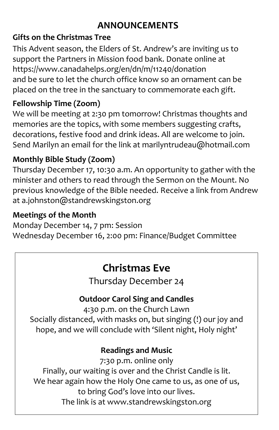# **ANNOUNCEMENTS**

### **Gifts on the Christmas Tree**

This Advent season, the Elders of St. Andrew's are inviting us to support the Partners in Mission food bank. Donate online at <https://www.canadahelps.org/en/dn/m/11240/donation> and be sure to let the church office know so an ornament can be placed on the tree in the sanctuary to commemorate each gift.

## **Fellowship Time (Zoom)**

We will be meeting at 2:30 pm tomorrow! Christmas thoughts and memories are the topics, with some members suggesting crafts, decorations, festive food and drink ideas. All are welcome to join. Send Marilyn an email for the link at marilyntrudeau@hotmail.com

## **Monthly Bible Study (Zoom)**

Thursday December 17, 10:30 a.m. An opportunity to gather with the minister and others to read through the Sermon on the Mount. No previous knowledge of the Bible needed. Receive a link from Andrew at [a.johnston@standrewskingston.org](mailto:a.johnston@standrewskingston.org)

## **Meetings of the Month**

Monday December 14, 7 pm: Session Wednesday December 16, 2:00 pm: Finance/Budget Committee

# **Christmas Eve**

Thursday December 24

## **Outdoor Carol Sing and Candles**

4:30 p.m. on the Church Lawn Socially distanced, with masks on, but singing (!) our joy and hope, and we will conclude with 'Silent night, Holy night'

## **Readings and Music**

7:30 p.m. online only Finally, our waiting is over and the Christ Candle is lit. We hear again how the Holy One came to us, as one of us, to bring God's love into our lives. The link is at [www.standrewskingston.org](http://www.standrewskingston.org/)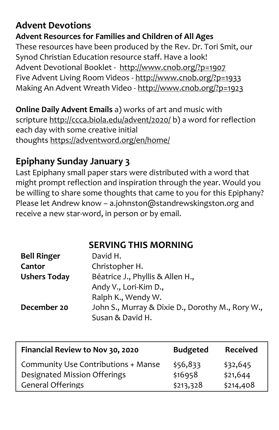# **Advent Devotions**

#### **Advent Resources for Families and Children of All Ages**

These resources have been produced by the Rev. Dr. Tori Smit, our Synod Christian Education resource staff. Have a look! Advent Devotional Booklet - <http://www.cnob.org/?p=1907> Five Advent Living Room Videos - <http://www.cnob.org/?p=1933> Making An Advent Wreath Video - <http://www.cnob.org/?p=1923>

**Online Daily Advent Emails** a) works of art and music with scripture <http://ccca.biola.edu/advent/2020/> b) a word for reflection each day with some creative initial thoughts <https://adventword.org/en/home/>

## **Epiphany Sunday January 3**

Last Epiphany small paper stars were distributed with a word that might prompt reflection and inspiration through the year. Would you be willing to share some thoughts that came to you for this Epiphany? Please let Andrew know – [a.johnston@standrewskingston.org](mailto:a.johnston@standrewskingston.org) and receive a new star-word, in person or by email.

**SERVING THIS MORNING**

| <b>Bell Ringer</b>  | David H.                                         |
|---------------------|--------------------------------------------------|
| Cantor              | Christopher H.                                   |
| <b>Ushers Today</b> | Bēatrice J., Phyllis & Allen H.,                 |
|                     | Andy V., Lori-Kim D.,                            |
|                     | Ralph K., Wendy W.                               |
| December 20         | John S., Murray & Dixie D., Dorothy M., Rory W., |
|                     | Susan & David H.                                 |

| Financial Review to Nov 30, 2020    | <b>Budgeted</b> | <b>Received</b> |
|-------------------------------------|-----------------|-----------------|
| Community Use Contributions + Manse | \$56,833        | \$32,645        |
| Designated Mission Offerings        | \$16958         | \$21,644        |
| <b>General Offerings</b>            | \$213,328       | \$214,408       |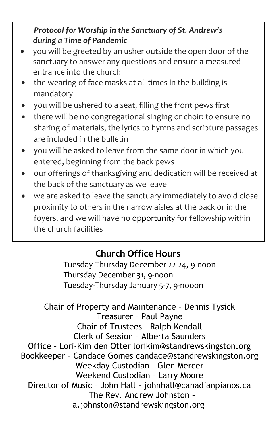#### *Protocol for Worship in the Sanctuary of St. Andrew's during a Time of Pandemic*

- you will be greeted by an usher outside the open door of the sanctuary to answer any questions and ensure a measured entrance into the church
- the wearing of face masks at all times in the building is mandatory
- you will be ushered to a seat, filling the front pews first
- there will be no congregational singing or choir: to ensure no sharing of materials, the lyrics to hymns and scripture passages are included in the bulletin
- you will be asked to leave from the same door in which you entered, beginning from the back pews
- our offerings of thanksgiving and dedication will be received at the back of the sanctuary as we leave
- we are asked to leave the sanctuary immediately to avoid close proximity to others in the narrow aisles at the back or in the foyers, and we will have no opportunity for fellowship within the church facilities

# **Church Office Hours**

Tuesday-Thursday December 22-24, 9-noon Thursday December 31, 9-noon Tuesday-Thursday January 5-7, 9-nooon

Chair of Property and Maintenance – Dennis Tysick Treasurer – Paul Payne Chair of Trustees – Ralph Kendall Clerk of Session – Alberta Saunders Office – Lori-Kim den Otter lorikim@standrewskingston.org Bookkeeper – Candace Gomes candace@standrewskingston.org Weekday Custodian – Glen Mercer Weekend Custodian – Larry Moore Director of Music – John Hall - johnhall@canadianpianos.ca The Rev. Andrew Johnston – [a.johnston@standrewskingston.org](mailto:a.johnston@standrewskingston.org)